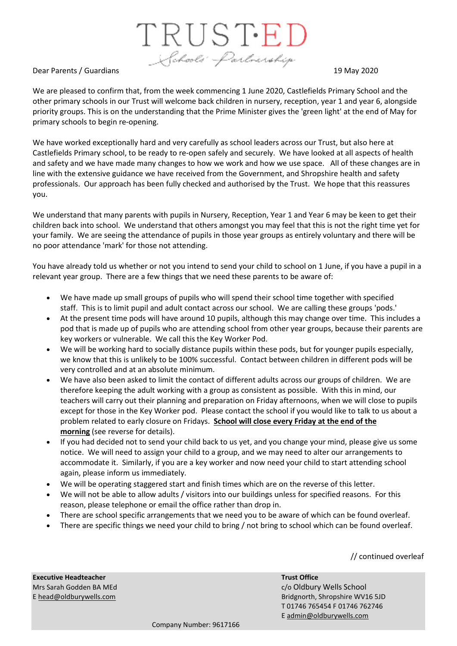TRUSTED Schools' Partnership

## Dear Parents / Guardians 19 May 2020

We are pleased to confirm that, from the week commencing 1 June 2020, Castlefields Primary School and the other primary schools in our Trust will welcome back children in nursery, reception, year 1 and year 6, alongside priority groups. This is on the understanding that the Prime Minister gives the 'green light' at the end of May for primary schools to begin re-opening.

We have worked exceptionally hard and very carefully as school leaders across our Trust, but also here at Castlefields Primary school, to be ready to re-open safely and securely. We have looked at all aspects of health and safety and we have made many changes to how we work and how we use space. All of these changes are in line with the extensive guidance we have received from the Government, and Shropshire health and safety professionals. Our approach has been fully checked and authorised by the Trust. We hope that this reassures you.

We understand that many parents with pupils in Nursery, Reception, Year 1 and Year 6 may be keen to get their children back into school. We understand that others amongst you may feel that this is not the right time yet for your family. We are seeing the attendance of pupils in those year groups as entirely voluntary and there will be no poor attendance 'mark' for those not attending.

You have already told us whether or not you intend to send your child to school on 1 June, if you have a pupil in a relevant year group. There are a few things that we need these parents to be aware of:

- We have made up small groups of pupils who will spend their school time together with specified staff. This is to limit pupil and adult contact across our school. We are calling these groups 'pods.'
- At the present time pods will have around 10 pupils, although this may change over time. This includes a pod that is made up of pupils who are attending school from other year groups, because their parents are key workers or vulnerable. We call this the Key Worker Pod.
- We will be working hard to socially distance pupils within these pods, but for younger pupils especially, we know that this is unlikely to be 100% successful. Contact between children in different pods will be very controlled and at an absolute minimum.
- We have also been asked to limit the contact of different adults across our groups of children. We are therefore keeping the adult working with a group as consistent as possible. With this in mind, our teachers will carry out their planning and preparation on Friday afternoons, when we will close to pupils except for those in the Key Worker pod. Please contact the school if you would like to talk to us about a problem related to early closure on Fridays. **School will close every Friday at the end of the morning** (see reverse for details).
- If you had decided not to send your child back to us yet, and you change your mind, please give us some notice. We will need to assign your child to a group, and we may need to alter our arrangements to accommodate it. Similarly, if you are a key worker and now need your child to start attending school again, please inform us immediately.
- We will be operating staggered start and finish times which are on the reverse of this letter.
- We will not be able to allow adults / visitors into our buildings unless for specified reasons. For this reason, please telephone or email the office rather than drop in.
- There are school specific arrangements that we need you to be aware of which can be found overleaf.
- There are specific things we need your child to bring / not bring to school which can be found overleaf.

// continued overleaf

**Executive Headteacher Trust Office** Mrs Sarah Godden BA MEd c/o Oldbury Wells School

[E head@oldburywells.com](mailto:head@oldburywells.com) Bridgnorth, Shropshire WV16 5JD T 01746 765454 F 01746 762746 [E admin@oldburywells.com](mailto:admin@oldburywells.co)

Company Number: 9617166